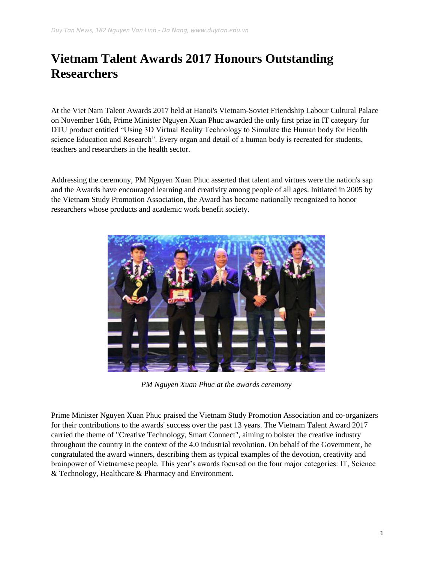## **Vietnam Talent Awards 2017 Honours Outstanding Researchers**

At the Viet Nam Talent Awards 2017 held at Hanoi's Vietnam-Soviet Friendship Labour Cultural Palace on November 16th, Prime Minister Nguyen Xuan Phuc awarded the only first prize in IT category for DTU product entitled "Using 3D Virtual Reality Technology to Simulate the Human body for Health science Education and Research". Every organ and detail of a human body is recreated for students, teachers and researchers in the health sector.

Addressing the ceremony, PM Nguyen Xuan Phuc asserted that talent and virtues were the nation's sap and the Awards have encouraged learning and creativity among people of all ages. Initiated in 2005 by the Vietnam Study Promotion Association, the Award has become nationally recognized to honor researchers whose products and academic work benefit society.



*PM Nguyen Xuan Phuc at the awards ceremony*

Prime Minister Nguyen Xuan Phuc praised the Vietnam Study Promotion Association and co-organizers for their contributions to the awards' success over the past 13 years. The Vietnam Talent Award 2017 carried the theme of "Creative Technology, Smart Connect", aiming to bolster the creative industry throughout the country in the context of the 4.0 industrial revolution. On behalf of the Government, he congratulated the award winners, describing them as typical examples of the devotion, creativity and brainpower of Vietnamese people. This year's awards focused on the four major categories: IT, Science & Technology, Healthcare & Pharmacy and Environment.